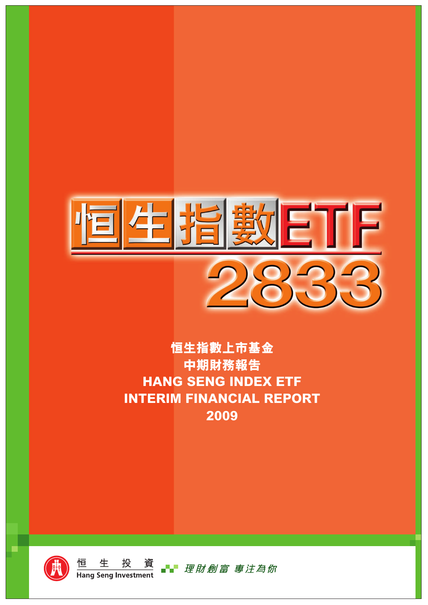

# **恒生指數上市基金 中期財務報告 HANG SENG INDEX ETF INTERIM FINANCIAL REPORT 2009**





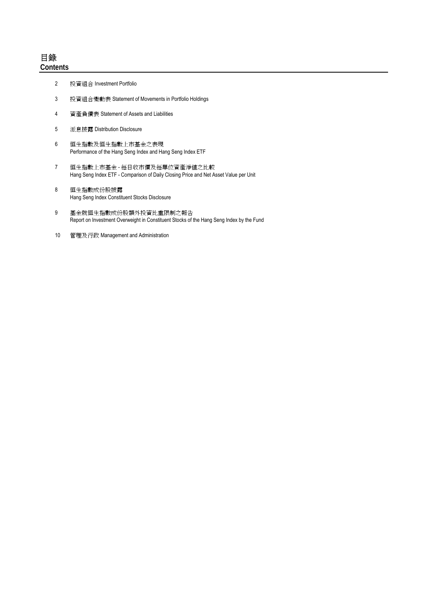- 2 投資組合 Investment Portfolio
- 3 投資組合變動表 Statement of Movements in Portfolio Holdings
- 4 資產負債表 Statement of Assets and Liabilities
- 5 派息披露 Distribution Disclosure
- 6 恒生指數及恒生指數上市基金之表現 Performance of the Hang Seng Index and Hang Seng Index ETF
- 7 恒生指數上市基金 每日收市價及每單位資產淨值之比較 Hang Seng Index ETF - Comparison of Daily Closing Price and Net Asset Value per Unit
- 8 恒生指數成份股披露 Hang Seng Index Constituent Stocks Disclosure
- 9 基金就恒生指數成份股額外投資比重限制之報告 Report on Investment Overweight in Constituent Stocks of the Hang Seng Index by the Fund
- 10 管理及行政 Management and Administration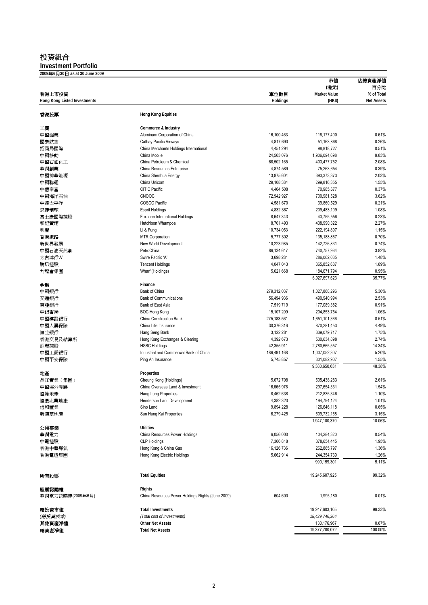# 投資組合

**Investment Portfolio**

| 2009年6月30日 as at 30 June 2009       |                                                   |               |                     |                   |
|-------------------------------------|---------------------------------------------------|---------------|---------------------|-------------------|
|                                     |                                                   |               | 市値                  | 佔總資產淨值            |
|                                     |                                                   |               | (港元)                | 百分比               |
| 香港上市投資                              |                                                   | 單位數目          | <b>Market Value</b> | % of Total        |
| <b>Hong Kong Listed Investments</b> |                                                   | Holdings      | (HK\$)              | <b>Net Assets</b> |
| 香港股票                                | <b>Hong Kong Equities</b>                         |               |                     |                   |
| 工商                                  | Commerce & Industry                               |               |                     |                   |
| 中國鋁業                                | Aluminum Corporation of China                     | 16,100,463    | 118,177,400         | 0.61%             |
| 國泰航空                                | Cathay Pacific Airways                            | 4,817,690     | 51,163,868          | 0.26%             |
| 招商局國際                               | China Merchants Holdings International            | 4,451,294     | 98,818,727          | 0.51%             |
| 中國移動                                | China Mobile                                      | 24,563,076    | 1,906,094,698       | 9.83%             |
| 中國石油化工                              | China Petroleum & Chemical                        | 68,502,165    | 403,477,752         | 2.08%             |
| 華潤創業                                | China Resources Enterprise                        | 4,874,589     | 75,263,654          | 0.39%             |
| 中國神華能源                              | China Shenhua Energy                              | 13,875,604    | 393,373,373         | 2.03%             |
| 中國聯通                                | China Unicom                                      | 29,108,384    | 299,816,355         | 1.55%             |
| 中信泰富                                | <b>CITIC Pacific</b>                              | 4,464,508     | 70,985,677          | 0.37%             |
| 中國海洋石油                              | <b>CNOOC</b>                                      | 72,942,927    | 700,981,528         | 3.62%             |
| 中遠太平洋                               | COSCO Pacific                                     | 4,581,670     | 39,860,529          | 0.21%             |
| 思捷環球                                | <b>Esprit Holdings</b>                            | 4,832,367     | 209,483,109         | 1.08%             |
| 富士康國際控股                             | Foxconn International Holdings                    | 8,647,343     | 43,755,556          | 0.23%             |
| 和記黃埔                                | Hutchison Whampoa                                 | 8,701,493     | 438,990,322         | 2.27%             |
| 利豐                                  | Li & Fung                                         | 10,734,053    | 222,194,897         | 1.15%             |
|                                     | <b>MTR Corporation</b>                            | 5,777,302     | 135,188,867         | 0.70%             |
| 香港鐵路                                | New World Development                             | 10,223,985    | 142,726,831         | 0.74%             |
| 新世界發展                               |                                                   |               |                     |                   |
| 中國石油天然氣                             | PetroChina                                        | 86,134,647    | 740,757,964         | 3.82%             |
| 太古洋行'A'                             | Swire Pacific 'A'                                 | 3,698,281     | 286,062,035         | 1.48%             |
| 騰訊控股                                | <b>Tencent Holdings</b>                           | 4,047,043     | 365,852,687         | 1.89%             |
| 九龍倉集團                               | Wharf (Holdings)                                  | 5,621,668     | 184,671,794         | 0.95%             |
|                                     |                                                   |               | 6,927,697,623       | 35.77%            |
| 金融                                  | Finance                                           |               |                     |                   |
| 中國銀行                                | Bank of China                                     | 279,312,037   | 1,027,868,296       | 5.30%             |
| 交通銀行                                | <b>Bank of Communications</b>                     | 56,494,936    | 490,940,994         | 2.53%             |
| 東亞銀行                                | Bank of East Asia                                 | 7,519,719     | 177,089,382         | 0.91%             |
| 中銀香港                                | <b>BOC Hong Kong</b>                              | 15,107,209    | 204,853,754         | 1.06%             |
| 中國建設銀行                              | China Construction Bank                           | 275, 183, 561 | 1,651,101,366       | 8.51%             |
| 中國人壽保險                              | China Life Insurance                              | 30,376,316    | 870,281,453         | 4.49%             |
| 恒生銀行                                | Hang Seng Bank                                    | 3,122,281     | 339,079,717         | 1.75%             |
| 香港交易及結算所                            | Hong Kong Exchanges & Clearing                    | 4,392,673     | 530,634,898         | 2.74%             |
| 滙豐控股                                | <b>HSBC Holdings</b>                              | 42,355,911    | 2,780,665,557       | 14.34%            |
| 中國工商銀行                              | Industrial and Commercial Bank of China           | 186,491,168   | 1,007,052,307       | 5.20%             |
| 中國平安保險                              | Ping An Insurance                                 | 5,745,857     | 301,082,907         | 1.55%             |
|                                     |                                                   |               | 9,380,650,631       | 48.38%            |
| 地產                                  | Properties                                        |               |                     |                   |
| 長江實業(集團)                            | Cheung Kong (Holdings)                            | 5,672,708     | 505,438,283         | 2.61%             |
| 中國海外發展                              | China Overseas Land & Investment                  | 16,665,976    | 297,654,331         | 1.54%             |
| 恒隆地產                                | Hang Lung Properties                              | 8,462,638     | 212,835,346         | 1.10%             |
| 恒基兆業地產                              | Henderson Land Development                        | 4,382,320     | 194,794,124         | 1.01%             |
| 信和置業                                | Sino Land                                         | 9,894,228     | 126,646,118         | 0.65%             |
| 新鴻基地產                               | Sun Hung Kai Properties                           | 6,279,425     | 609,732,168         | 3.15%             |
|                                     |                                                   |               | 1,947,100,370       | 10.06%            |
| 公用事業                                | <b>Utilities</b>                                  |               |                     |                   |
| 華潤電力                                | China Resources Power Holdings                    | 6,056,000     | 104,284,320         | 0.54%             |
| 中電控股                                | <b>CLP Holdings</b>                               | 7,366,818     | 378,654,445         | 1.95%             |
| 香港中華煤氣                              | Hong Kong & China Gas                             | 16,126,736    | 262,865,797         | 1.36%             |
| 香港電燈集團                              | Hong Kong Electric Holdings                       | 5,662,914     | 244,354,739         | 1.26%             |
|                                     |                                                   |               | 990,159,301         | 5.11%             |
| 所有股票                                | <b>Total Equities</b>                             |               | 19,245,607,925      | 99.32%            |
|                                     |                                                   |               |                     |                   |
| 股票認購權                               | Rights                                            |               |                     |                   |
| 華潤電力認購權(2009年6月)                    | China Resources Power Holdings Rights (June 2009) | 604,600       | 1,995,180           | 0.01%             |
| 總投資市値                               | <b>Total Investments</b>                          |               | 19,247,603,105      | 99.33%            |
| (總投資成本)                             | (Total cost of Investments)                       |               | 18,429,746,364      |                   |
| 其他資產淨值                              | <b>Other Net Assets</b>                           |               | 130,176,967         | 0.67%             |
| 總資產淨值                               | <b>Total Net Assets</b>                           |               | 19,377,780,072      | 100.00%           |
|                                     |                                                   |               |                     |                   |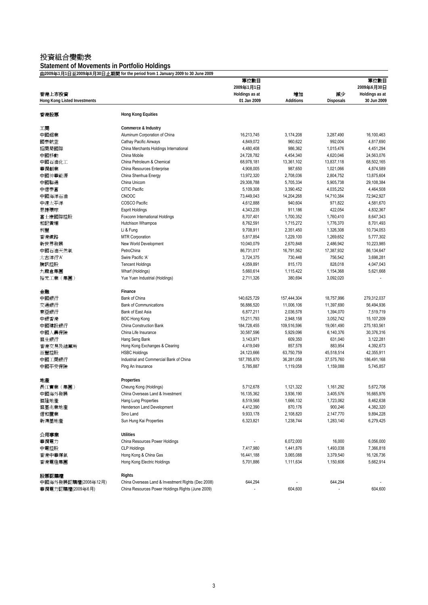# 投資組合變動表

#### **Statement of Movements in Portfolio Holdings**

由**2009**年**1**月**1**日至**2009**年**6**月**30**日止期間 **for the period from 1 January 2009 to 30 June 2009**

|                                     |                                                              | 單位數目           |             |            | 單位數目           |
|-------------------------------------|--------------------------------------------------------------|----------------|-------------|------------|----------------|
|                                     |                                                              | 2009年1月1日      |             |            | 2009年6月30日     |
| 香港上市投資                              |                                                              | Holdings as at | 增加          | 減少         | Holdings as at |
| <b>Hong Kong Listed Investments</b> |                                                              | 01 Jan 2009    | Additions   | Disposals  | 30 Jun 2009    |
|                                     |                                                              |                |             |            |                |
| 香港股票                                | <b>Hong Kong Equities</b>                                    |                |             |            |                |
| 工商                                  | Commerce & Industry                                          |                |             |            |                |
| 中國鋁業                                | Aluminum Corporation of China                                | 16,213,745     | 3,174,208   | 3,287,490  | 16,100,463     |
| 國泰航空                                | Cathay Pacific Airways                                       | 4,849,072      | 960,622     | 992,004    | 4,817,690      |
| 招商局國際                               | China Merchants Holdings International                       | 4,480,408      | 986,362     | 1,015,476  | 4,451,294      |
| 中國移動                                | China Mobile                                                 | 24,728,782     | 4,454,340   | 4,620,046  | 24,563,076     |
| 中國石油化工                              | China Petroleum & Chemical                                   | 68,978,181     | 13,361,102  | 13,837,118 | 68,502,165     |
| 華潤創業                                | China Resources Enterprise                                   | 4,908,005      | 987,650     | 1,021,066  | 4,874,589      |
| 中國神華能源                              | China Shenhua Energy                                         | 13,972,320     | 2,708,036   | 2,804,752  | 13,875,604     |
| 中國聯通                                | China Unicom                                                 | 29,308,788     | 5,705,334   | 5,905,738  | 29,108,384     |
| 中信泰富                                | CITIC Pacific                                                | 5,109,308      | 3,390,452   | 4,035,252  | 4,464,508      |
| 中國海洋石油                              | <b>CNOOC</b>                                                 | 73,449,043     | 14,204,268  | 14,710,384 | 72,942,927     |
| 中遠太平洋                               | COSCO Pacific                                                | 4,612,888      | 940,604     | 971,822    | 4,581,670      |
| 思捷環球                                | <b>Esprit Holdings</b>                                       | 4,343,235      | 911,186     | 422,054    | 4,832,367      |
| 富士康國際控股                             | Foxconn International Holdings                               | 8,707,401      | 1,700,352   | 1,760,410  | 8,647,343      |
| 和記黃埔                                | Hutchison Whampoa                                            | 8,762,591      | 1,715,272   | 1,776,370  | 8,701,493      |
| 利豐                                  | Li & Fung                                                    | 9,708,911      | 2,351,450   | 1,326,308  | 10,734,053     |
| 香港鐵路                                | <b>MTR Corporation</b>                                       | 5,817,854      | 1,229,100   | 1,269,652  | 5,777,302      |
| 新世界發展                               | New World Development                                        | 10,040,079     | 2,670,848   | 2,486,942  | 10,223,985     |
| 中國石油天然氣                             | PetroChina                                                   | 86,731,017     | 16,791,562  | 17,387,932 | 86,134,647     |
| 太古洋行'A'                             | Swire Pacific 'A'                                            | 3,724,375      | 730,448     | 756,542    | 3,698,281      |
| 騰訊控股                                | <b>Tencent Holdings</b>                                      | 4,059,891      | 815,170     | 828,018    | 4,047,043      |
| 九龍倉集團                               | Wharf (Holdings)                                             | 5,660,614      | 1,115,422   | 1,154,368  | 5,621,668      |
| 裕元工業 (集團)                           | Yue Yuen Industrial (Holdings)                               | 2,711,326      | 380,694     | 3,092,020  |                |
|                                     |                                                              |                |             |            |                |
| 金融                                  | Finance                                                      |                |             |            |                |
| 中國銀行                                | Bank of China                                                | 140,625,729    | 157,444,304 | 18,757,996 | 279,312,037    |
| 交通銀行                                | <b>Bank of Communications</b>                                | 56,886,520     | 11,006,106  | 11,397,690 | 56,494,936     |
| 東亞銀行                                | Bank of East Asia                                            | 6,877,211      | 2,036,578   | 1,394,070  | 7,519,719      |
| 中銀香港                                | <b>BOC Hong Kong</b>                                         | 15,211,793     | 2,948,158   | 3,052,742  | 15,107,209     |
| 中國建設銀行                              | China Construction Bank                                      | 184,728,455    | 109,516,596 | 19,061,490 | 275, 183, 561  |
| 中國人壽保險                              | China Life Insurance                                         | 30,587,596     | 5,929,096   | 6,140,376  | 30,376,316     |
| 恒生銀行                                | Hang Seng Bank                                               | 3,143,971      | 609,350     | 631,040    | 3,122,281      |
| 香港交易及結算所                            | Hong Kong Exchanges & Clearing                               | 4,419,049      | 857,578     | 883,954    | 4,392,673      |
| 滙豐控股                                | <b>HSBC Holdings</b>                                         | 24,123,666     | 63,750,759  | 45,518,514 | 42,355,911     |
| 中國工商銀行                              | Industrial and Commercial Bank of China                      | 187,785,870    | 36,281,058  | 37,575,760 | 186,491,168    |
| 中國平安保險                              | Ping An Insurance                                            | 5,785,887      | 1,119,058   | 1,159,088  | 5,745,857      |
|                                     |                                                              |                |             |            |                |
| 地產                                  | Properties                                                   |                | 1,121,322   |            | 5,672,708      |
| 長江實業 (集團)                           | Cheung Kong (Holdings)                                       | 5,712,678      |             | 1,161,292  |                |
| 中國海外發展                              | China Overseas Land & Investment                             | 16,135,362     | 3,936,190   | 3,405,576  | 16,665,976     |
| 恒隆地產                                | Hang Lung Properties                                         | 8,519,568      | 1,666,132   | 1,723,062  | 8,462,638      |
| 恒基兆業地產                              | Henderson Land Development                                   | 4,412,390      | 870,176     | 900,246    | 4,382,320      |
| 信和置業                                | Sino Land                                                    | 9,933,178      | 2,108,820   | 2,147,770  | 9,894,228      |
| 新鴻基地產                               | Sun Hung Kai Properties                                      | 6,323,821      | 1,238,744   | 1,283,140  | 6,279,425      |
| 公用事業                                | <b>Utilities</b>                                             |                |             |            |                |
| 華潤電力                                | China Resources Power Holdings                               |                | 6,072,000   | 16,000     | 6,056,000      |
| 中電控股                                | <b>CLP Holdings</b>                                          | 7,417,980      | 1,441,876   | 1,493,038  | 7,366,818      |
| 香港中華煤氣                              | Hong Kong & China Gas                                        | 16,441,188     | 3,065,088   | 3,379,540  | 16,126,736     |
| 香港電燈集團                              | Hong Kong Electric Holdings                                  | 5,701,886      | 1,111,634   | 1,150,606  | 5,662,914      |
|                                     |                                                              |                |             |            |                |
| 股票認購權<br>中國海外發展認購權(2008年12月)        | Rights<br>China Overseas Land & Investment Rights (Dec 2008) | 644,294        |             | 644,294    |                |
| 華潤電力認購權(2009年6月)                    | China Resources Power Holdings Rights (June 2009)            |                | 604,600     |            | 604,600        |
|                                     |                                                              |                |             |            |                |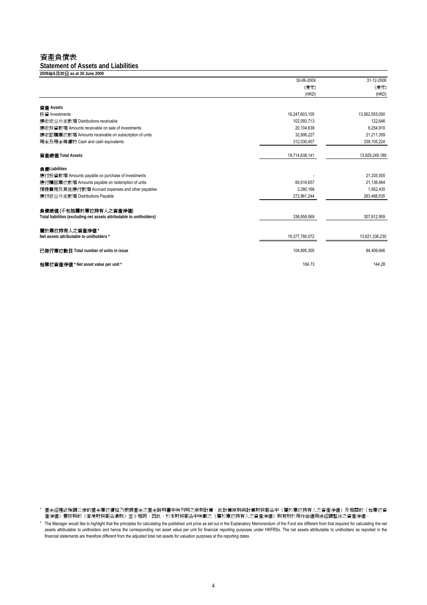### 資產負債表

**Statement of Assets and Liabilities**

| 2009年6月30日 as at 30 June 2009                                        |                |                |
|----------------------------------------------------------------------|----------------|----------------|
|                                                                      | 30-06-2009     | 31-12-2008     |
|                                                                      | (港元)           | (港元)           |
|                                                                      | (HKD)          | (HKD)          |
|                                                                      |                |                |
| 資產 Assets                                                            |                |                |
| 投資 Investments                                                       | 19,247,603,105 | 13,562,555,050 |
| 應收收益分派款項 Distributions receivable                                    | 102.093.713    | 122,646        |
| 應收投資款項 Amounts receivable on sale of investments                     | 20,104,639     | 6,254,910      |
| 應收認購單位款項 Amounts receivable on subscription of units                 | 32,806,227     | 21,211,359     |
| 現金及現金等價物 Cash and cash equivalents                                   | 312,030,457    | 339,105,224    |
| 資產總值 Total Assets                                                    | 19,714,638,141 | 13,929,249,189 |
| 負債Liabilities                                                        |                |                |
| 應付投資款項 Amounts payable on purchase of investments                    |                | 21,335,505     |
| 應付贖回單位款項 Amounts payable on redemption of units                      | 60,616,657     | 21,136,484     |
| 預提費用及其他應付款項 Accrued expenses and other payables                      | 3,280,168      | 1,952,435      |
| 應付收益分派款項 Distributions Payable                                       | 272,961,244    | 263,488,535    |
| 負債總値(不包括屬於單位持有人之資產淨值)                                                |                |                |
| Total liabilities (excluding net assets attributable to unitholders) | 336.858.069    | 307,912,959    |
| 屬於單位持有人之資產淨值 *                                                       |                |                |
| Net assets attributable to unitholders *                             | 19,377,780,072 | 13,621,336,230 |
| 已發行單位數目 Total number of units in issue                               | 104,895,300    | 94,409,946     |
| 每單位資產淨值 * Net asset value per unit *                                 | 184.73         | 144.28         |

\* 基金經理欲強調公佈的基金單位價格乃根據基金之基金說明書中所列明之原則計算。此計算原則與計算財務報告中《屬於單位持有人之資產淨值》及相關的《每單位資 產淨值》需按照的《香港財務報告準則》並不相同。因此,於本財務報告中所載之《屬於單位持有人之資產淨值》則有別於用作估值用途經調整後之資產淨值。

\* The Manager would like to highlight that the principles for calculating the published unit price as set out in the Explanatory Memorandum of the Fund are different from that required for calculating the net assets attributable to unitholders and hence the corresponding net asset value per unit for financial reporting purposes under HKFRSs. The net assets attributable to unitholders as reported in the financial statements are therefore different from the adjusted total net assets for valuation purposes at the reporting dates.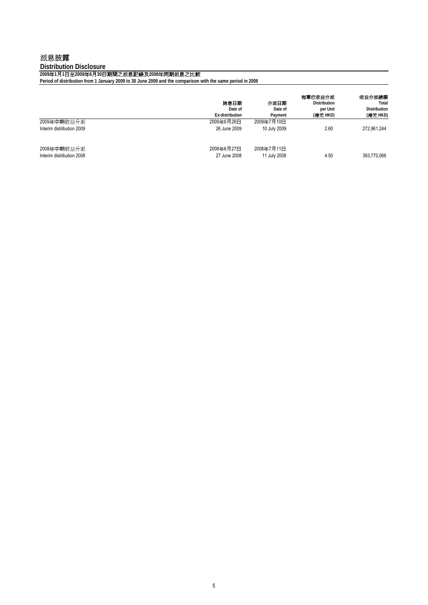### 派息披露

**Distribution Disclosure**

**2009**年**1**月**1**日至**2009**年**6**月**30**日期間之派息記錄及**2008**年同期派息之比較

**Period of distribution from 1 January 2009 to 30 June 2009 and the comparison with the same period in 2008**

|                                          | 除息日期<br>Date of<br>Ex-distribution | 分派日期<br>Date of<br>Payment | 每單位收益分派<br><b>Distribution</b><br>per Unit<br>(港元 HKD) | 收益分派總額<br>Total<br><b>Distribution</b><br>(港元 HKD) |
|------------------------------------------|------------------------------------|----------------------------|--------------------------------------------------------|----------------------------------------------------|
| 2009年中期收益分派<br>Interim distribution 2009 | 2009年6月26日<br>26 June 2009         | 2009年7月10日<br>10 July 2009 | 2.60                                                   | 272.961.244                                        |
| 2008年中期收益分派<br>Interim distribution 2008 | 2008年6月27日<br>27 June 2008         | 2008年7月11日<br>11 July 2008 | 4.50                                                   | 393,770,066                                        |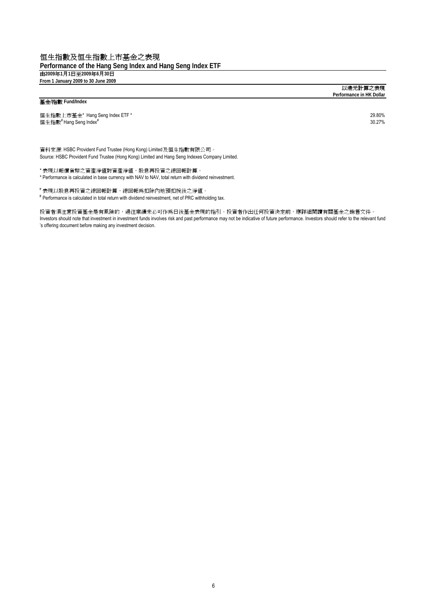### 恒生指數及恒生指數上市基金之表現

**Performance of the Hang Seng Index and Hang Seng Index ETF** 由**2009**年**1**月**1**日至**2009**年**6**月**30**日 **From 1 January 2009 to 30 June 2009** 

#### 基金**/**指數 **Fund/Index**

恒生指數上市基金\* Hang Seng Index ETF \* 29.80%<br>恒生指數<sup>#</sup> Hang Seng Index<sup>\*</sup> 20.80% 20.80% 20.80% 20.80% 20.80% 20.80% 20.80% 20.80% 20.80% 20.80% 20.80% 20.80% 20 恒生指數<sup>#</sup> Hang Seng Index<sup>#</sup>

資料來源: HSBC Provident Fund Trustee (Hong Kong) Limited及恒生指數有限公司。 Source: HSBC Provident Fund Trustee (Hong Kong) Limited and Hang Seng Indexes Company Limited.

\* 表現以報價貨幣之資產淨值對資產淨值,股息再投資之總回報計算。

\* Performance is calculated in base currency with NAV to NAV, total return with dividend reinvestment.

# 表現以股息再投資之總回報計算,總回報為扣除內地預扣稅後之淨值。

# Performance is calculated in total return with dividend reinvestment, net of PRC withholding tax.

Investors should note that investment in investment funds involves risk and past performance may not be indicative of future performance. Investors should refer to the relevant fund 's offering document before making any investment decision. 投資者須注意投資基金是有風險的,過往業績未必可作為日後基金表現的指引。投資者作出任何投資決定前,應詳細閱讀有關基金之銷售文件。

以港元計算之表現 **Performance in HK Dollar**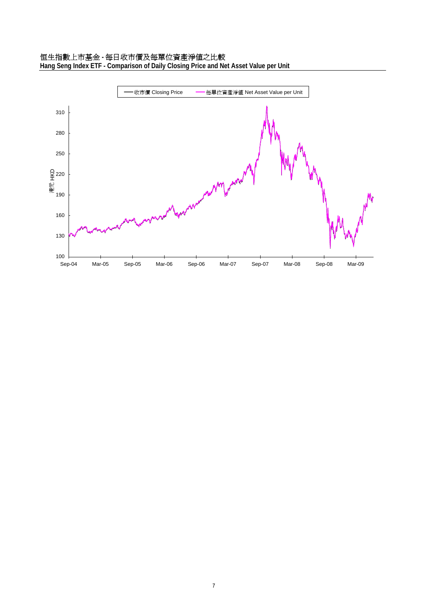# 恒生指數上市基金 **-** 每日收市價及每單位資產淨值之比較

**Hang Seng Index ETF - Comparison of Daily Closing Price and Net Asset Value per Unit**

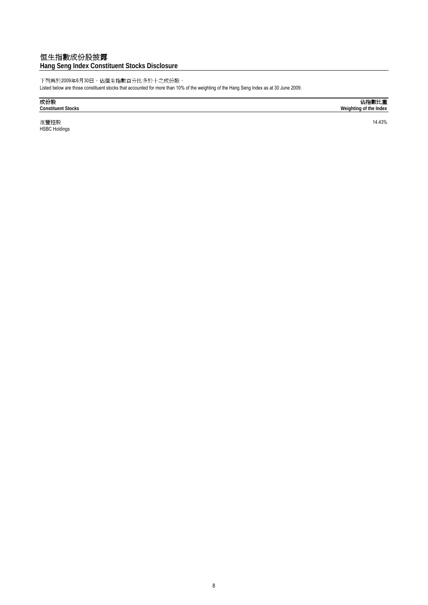# 恒生指數成份股披露

### **Hang Seng Index Constituent Stocks Disclosure**

下列為於2009年6月30日,佔恒生指數百分比多於十之成份股。

Listed below are those constituent stocks that accounted for more than 10% of the weighting of the Hang Seng Index as at 30 June 2009.

滙豐控股 14.43% HSBC Holdings

成份股 佔指數比重 **Constituent Stocks Weighting of the Index**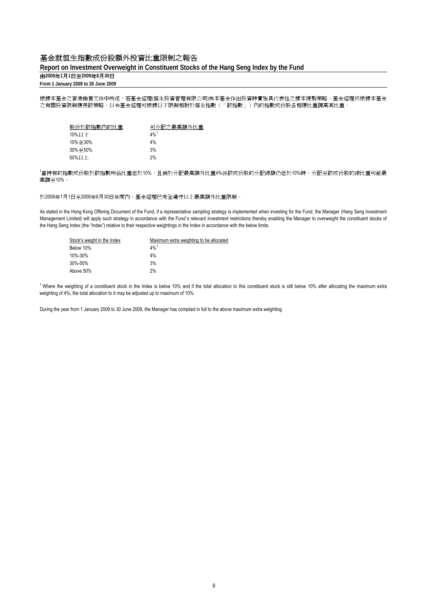### 基金就恒生指數成份股額外投資比重限制之報告

#### **Report on Investment Overweight in Constituent Stocks of the Hang Seng Index by the Fund**

# 由**2009**年**1**月**1**日至**2009**年**6**月**30**日

**From 1 January 2009 to 30 June 2009**

根據本基金之香港銷售文件中所述,若基金經理(恒生投資管理有限公司)為本基金作出投資時實施具代表性之樣本複製策略,基金經理將根據本基金 之有關投資限制應用該策略,以令基金經理可根據以下限制相對於恒生指數(「該指數」)內的指數成份股各相應比重調高其比重。

| 股份於該指數內的比重 | 可分配之最高額外比重         |
|------------|--------------------|
| 10%以下      | $4\%$ <sup>1</sup> |
| 10%至30%    | 4%                 |
| 30%至50%    | 3%                 |
| 50%以上      | 2%                 |

,<br><sup>1</sup>當持有的指數成份股於該指數所佔比重低於10%,且倘於分配最高額外比重4%後該成份股的分配總額仍低於10%時,分配至該成份股的總比重可能最 高調至10%。

於2009年1月1日至2009年6月30日年度內,基金經理已完全遵守以上最高額外比重限制。

As stated in the Hong Kong Offering Document of the Fund, if a representative sampling strategy is implemented when investing for the Fund, the Manager (Hang Seng Investment Management Limited) will apply such strategy in accordance with the Fund's relevant investment restrictions thereby enabling the Manager to overweight the constituent stocks of the Hang Seng Index (the "Index") relative to their respective weightings in the Index in accordance with the below limits.

| Maximum extra weighting to be allocated |
|-----------------------------------------|
| $4\%$ <sup>1</sup>                      |
| 4%                                      |
| 3%                                      |
| 2%                                      |
|                                         |

<sup>1</sup> Where the weighting of a constituent stock in the Index is below 10% and if the total allocation to this constituent stock is still below 10% after allocating the maximum extra weighting of 4%, the total allocation to it may be adjusted up to maximum of 10%.

During the year from 1 January 2009 to 30 June 2009, the Manager has complied in full to the above maximum extra weighting.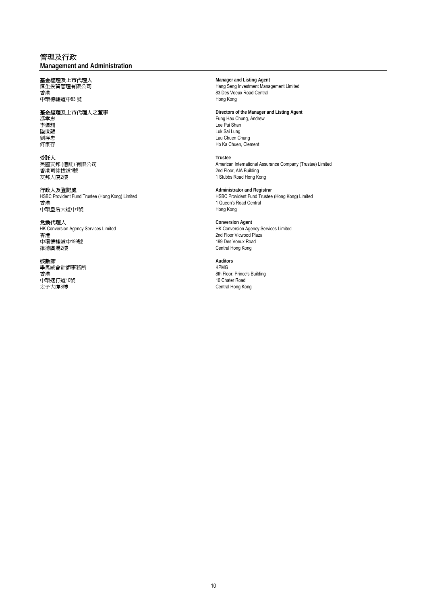### 管理及行政

**Management and Administration**

中環德輔道中83號

友邦大廈2樓 1 Stubbs Road Hong Kong

香港 1 Queen's Road Central 中環皇后大道中1號

香港 2nd Floor Vicwood Plaza - 1.<br>中環德輔道中199號<br>維德廣場2樓

ままます。<br>畢馬威會計師事務所 インタン・ファイル KPMG 1.1<br>中環遮打道10號<br>太子大廈8樓

基金經理及上市代理人 **Manager and Listing Agent** 恒生投資管理有限公司 Hang Seng Investment Management Limited 83 Des Voeux Road Central<br>Hong Kong

基金經理及上市代理人之董事 **Directors of the Manager and Listing Agent** 馮孝忠 またまには、その他には、このことには、このことには、Fung Hau Chung, Andrew<br>李佩珊 たちには、このことには、このことには、このことには、このことには、このことには、このことには、このことには、このことには、このことには、このことには、この - 李佩珊 インディング こうしょう こうしょう しゅうしょう しゅうしょう しゅうしょう しゅうしょう しゅうしょう しゅうしょう しゅうしょう しゅうしょう Luk Sai Lung <sub>||星世記</sub>。<br>劉存忠 | Lau Chuen Chung The Ka Chuen, Clement<br>何家存

受託人 **Trustee** 美國友邦 (信託) 有限公司 American International Assurance Company (Trustee) Limited 2nd Floor, AIA Building

行政人及登記處<br>HSBC Provident Fund Trustee (Hong Kong) Limited **Administrator and Registrar**<br>HSBC Provident Fund Trustee HSBC Provident Fund Trustee (Hong Kong) Limited HSBC Provident Fund Trustee (Hong Kong) Limited

兌換代理人 **Conversion Agent** HK Conversion Agency Services Limited HK Conversion Agency Services Limited Central Hong Kong

核數師 **Auditors** ー。<br>香港 8th Floor, Prince's Building<br>中環遮打道10號 10 Chater Road Central Hong Kong